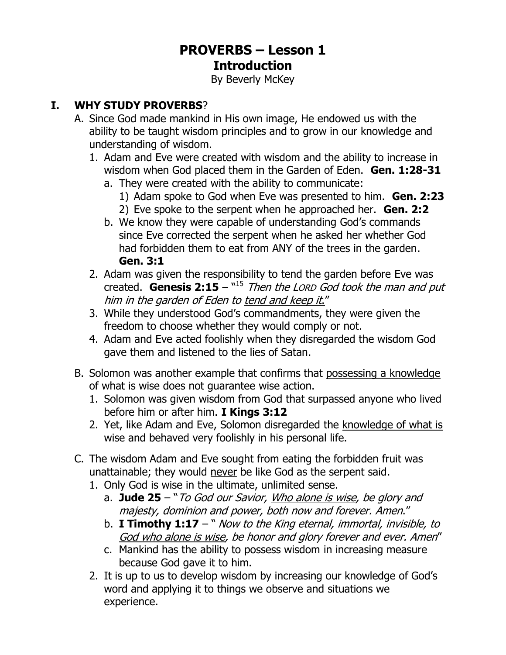# **PROVERBS – Lesson 1 Introduction**

By Beverly McKey

## **I. WHY STUDY PROVERBS**?

- A. Since God made mankind in His own image, He endowed us with the ability to be taught wisdom principles and to grow in our knowledge and understanding of wisdom.
	- 1. Adam and Eve were created with wisdom and the ability to increase in wisdom when God placed them in the Garden of Eden. **Gen. 1:28-31**
		- a. They were created with the ability to communicate:
			- 1) Adam spoke to God when Eve was presented to him. **Gen. 2:23**
			- 2) Eve spoke to the serpent when he approached her. **Gen. 2:2**
		- b. We know they were capable of understanding God's commands since Eve corrected the serpent when he asked her whether God had forbidden them to eat from ANY of the trees in the garden. **Gen. 3:1**
	- 2. Adam was given the responsibility to tend the garden before Eve was created. **Genesis 2:15** – "<sup>15</sup> Then the LORD God took the man and put him in the garden of Eden to tend and keep it."
	- 3. While they understood God's commandments, they were given the freedom to choose whether they would comply or not.
	- 4. Adam and Eve acted foolishly when they disregarded the wisdom God gave them and listened to the lies of Satan.
- B. Solomon was another example that confirms that possessing a knowledge of what is wise does not guarantee wise action.
	- 1. Solomon was given wisdom from God that surpassed anyone who lived before him or after him. **I Kings 3:12**
	- 2. Yet, like Adam and Eve, Solomon disregarded the knowledge of what is wise and behaved very foolishly in his personal life.
- C. The wisdom Adam and Eve sought from eating the forbidden fruit was unattainable; they would never be like God as the serpent said.
	- 1. Only God is wise in the ultimate, unlimited sense.
		- a. **Jude 25** "To God our Savior, Who alone is wise, be glory and majesty, dominion and power, both now and forever. Amen."
		- b. **I Timothy 1:17** " Now to the King eternal, immortal, invisible, to God who alone is wise, be honor and glory forever and ever. Amen"
		- c. Mankind has the ability to possess wisdom in increasing measure because God gave it to him.
	- 2. It is up to us to develop wisdom by increasing our knowledge of God's word and applying it to things we observe and situations we experience.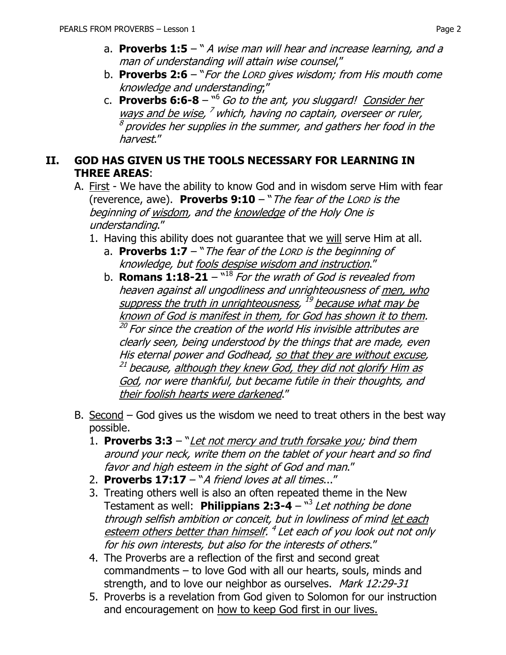- a. **Proverbs 1:5** " A wise man will hear and increase learning, and a man of understanding will attain wise counsel,"
- b. **Proverbs 2:6** "For the LORD gives wisdom; from His mouth come knowledge and understanding;"
- c. **Proverbs 6:6-8** " <sup>6</sup> Go to the ant, you sluggard! Consider her ways and be wise, <sup>7</sup> which, having no captain, overseer or ruler,  $^{\rm 8}$  provides her supplies in the summer, and gathers her food in the harvest."

#### **II. GOD HAS GIVEN US THE TOOLS NECESSARY FOR LEARNING IN THREE AREAS**:

- A. First We have the ability to know God and in wisdom serve Him with fear (reverence, awe). **Proverbs 9:10** – "The fear of the LORD is the beginning of wisdom, and the knowledge of the Holy One is understanding."
	- 1. Having this ability does not guarantee that we will serve Him at all.
		- a. **Proverbs 1:7** "The fear of the LORD is the beginning of knowledge, but fools despise wisdom and instruction."
		- b. **Romans 1:18-21**  $^{\text{v18}}$  *For the wrath of God is revealed from* heaven against all ungodliness and unrighteousness of men, who suppress the truth in unrighteousness, <sup>19</sup> because what may be known of God is manifest in them, for God has shown it to them. <sup>20</sup> For since the creation of the world His invisible attributes are clearly seen, being understood by the things that are made, even His eternal power and Godhead, so that they are without excuse, <sup>21</sup> because, <u>although they knew God, they did not glorify Him as</u> God, nor were thankful, but became futile in their thoughts, and their foolish hearts were darkened."
- B. Second  $-$  God gives us the wisdom we need to treat others in the best way possible.
	- 1. **Proverbs 3:3** "Let not mercy and truth forsake you; bind them around your neck, write them on the tablet of your heart and so find favor and high esteem in the sight of God and man."
	- 2. **Proverbs 17:17** "A friend loves at all times..."
	- 3. Treating others well is also an often repeated theme in the New Testament as well: Philippians 2:3-4 - "<sup>3</sup> Let nothing be done through selfish ambition or conceit, but in lowliness of mind let each esteem others better than himself. <sup>4</sup> Let each of you look out not only for his own interests, but also for the interests of others."
	- 4. The Proverbs are a reflection of the first and second great commandments – to love God with all our hearts, souls, minds and strength, and to love our neighbor as ourselves. Mark 12:29-31
	- 5. Proverbs is a revelation from God given to Solomon for our instruction and encouragement on how to keep God first in our lives.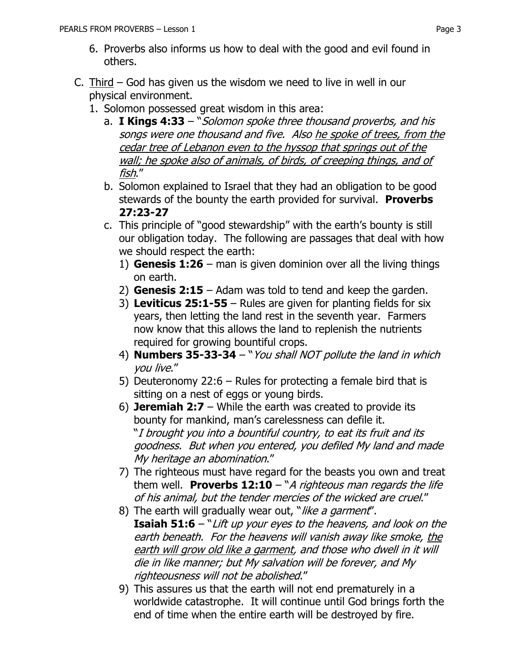- 6. Proverbs also informs us how to deal with the good and evil found in others.
- C. Third  $-$  God has given us the wisdom we need to live in well in our physical environment.
	- 1. Solomon possessed great wisdom in this area:
		- a. **I Kings 4:33** "Solomon spoke three thousand proverbs, and his songs were one thousand and five. Also he spoke of trees, from the cedar tree of Lebanon even to the hyssop that springs out of the wall; he spoke also of animals, of birds, of creeping things, and of fish."
		- b. Solomon explained to Israel that they had an obligation to be good stewards of the bounty the earth provided for survival. **Proverbs 27:23-27**
		- c. This principle of "good stewardship" with the earth's bounty is still our obligation today. The following are passages that deal with how we should respect the earth:
			- 1) **Genesis 1:26** man is given dominion over all the living things on earth.
			- 2) **Genesis 2:15** Adam was told to tend and keep the garden.
			- 3) **Leviticus 25:1-55**  Rules are given for planting fields for six years, then letting the land rest in the seventh year. Farmers now know that this allows the land to replenish the nutrients required for growing bountiful crops.
			- 4) **Numbers 35-33-34** "You shall NOT pollute the land in which you live."
			- 5) Deuteronomy 22:6 Rules for protecting a female bird that is sitting on a nest of eggs or young birds.
			- 6) **Jeremiah 2:7** While the earth was created to provide its bounty for mankind, man's carelessness can defile it. "I brought you into a bountiful country, to eat its fruit and its goodness. But when you entered, you defiled My land and made My heritage an abomination."
			- 7) The righteous must have regard for the beasts you own and treat them well. **Proverbs 12:10** – "A righteous man regards the life of his animal, but the tender mercies of the wicked are cruel."
			- 8) The earth will gradually wear out, "like a garment". **Isaiah 51:6** – "Lift up your eyes to the heavens, and look on the earth beneath. For the heavens will vanish away like smoke, the earth will grow old like a garment, and those who dwell in it will die in like manner; but My salvation will be forever, and My righteousness will not be abolished."
			- 9) This assures us that the earth will not end prematurely in a worldwide catastrophe. It will continue until God brings forth the end of time when the entire earth will be destroyed by fire.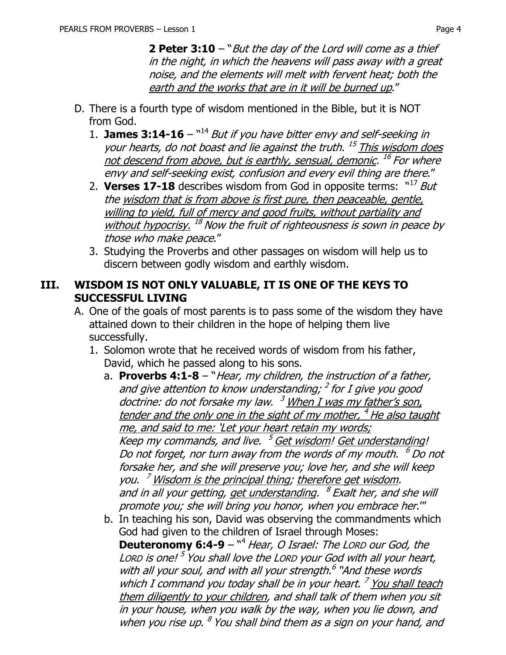**2 Peter 3:10** – "But the day of the Lord will come as a thief in the night, in which the heavens will pass away with a great noise, and the elements will melt with fervent heat; both the earth and the works that are in it will be burned up."

- D. There is a fourth type of wisdom mentioned in the Bible, but it is NOT from God.
	- 1. **James 3:14-16**  $\frac{14}{14}$  But if you have bitter envy and self-seeking in your hearts, do not boast and lie against the truth.<sup>15</sup> This wisdom does not descend from above, but is earthly, sensual, demonic. <sup>16</sup> For where envy and self-seeking exist, confusion and every evil thing are there."
	- 2. **Verses 17-18** describes wisdom from God in opposite terms:  $N^{17}$  But the wisdom that is from above is first pure, then peaceable, gentle, willing to yield, full of mercy and good fruits, without partiality and without hypocrisy. <sup>18</sup> Now the fruit of righteousness is sown in peace by those who make peace."
	- 3. Studying the Proverbs and other passages on wisdom will help us to discern between godly wisdom and earthly wisdom.

#### **III. WISDOM IS NOT ONLY VALUABLE, IT IS ONE OF THE KEYS TO SUCCESSFUL LIVING**

- A. One of the goals of most parents is to pass some of the wisdom they have attained down to their children in the hope of helping them live successfully.
	- 1. Solomon wrote that he received words of wisdom from his father, David, which he passed along to his sons.
		- a. **Proverbs 4:1-8** "Hear, my children, the instruction of a father, and give attention to know understanding; <sup>2</sup> for I give you good doctrine: do not forsake my law. <sup>3</sup> When I was my father's son, tender and the only one in the sight of my mother, <sup>4</sup> He also taught me, and said to me: 'Let your heart retain my words; Keep my commands, and live. <sup>5</sup> Get wisdom! Get understanding! Do not forget, nor turn away from the words of my mouth.  $\,{}^6$  Do not forsake her, and she will preserve you; love her, and she will keep you. <sup>7</sup> Wisdom is the principal thing; therefore get wisdom. and in all your getting, <u>get understanding</u>. <sup>8</sup> Exalt her, and she will promote you; she will bring you honor, when you embrace her.'"
		- b. In teaching his son, David was observing the commandments which God had given to the children of Israel through Moses:

**Deuteronomy 6:4-9** – <sup>14</sup> Hear, O Israel: The LORD our God, the Lorp is one! <sup>5</sup> You shall love the Lorp your God with all your heart, with all your soul, and with all your strength.<sup>6</sup> "And these words which I command you today shall be in your heart.<sup>7</sup> You shall teach them diligently to your children, and shall talk of them when you sit in your house, when you walk by the way, when you lie down, and when you rise up. <sup>8</sup> You shall bind them as a sign on your hand, and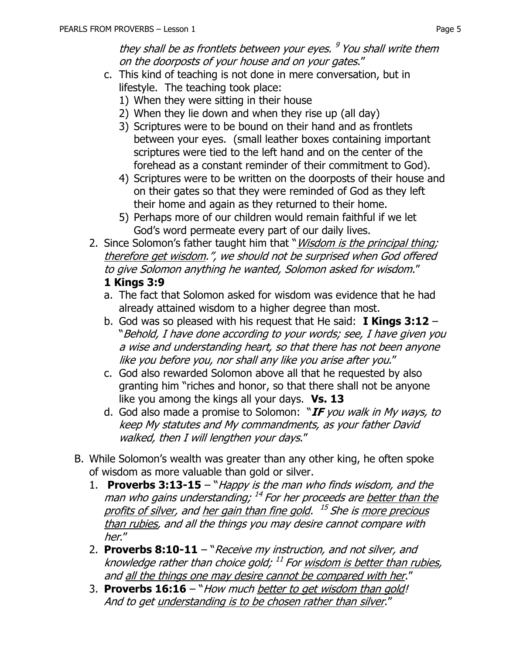- c. This kind of teaching is not done in mere conversation, but in lifestyle. The teaching took place:
	- 1) When they were sitting in their house
	- 2) When they lie down and when they rise up (all day)
	- 3) Scriptures were to be bound on their hand and as frontlets between your eyes. (small leather boxes containing important scriptures were tied to the left hand and on the center of the forehead as a constant reminder of their commitment to God).
	- 4) Scriptures were to be written on the doorposts of their house and on their gates so that they were reminded of God as they left their home and again as they returned to their home.
	- 5) Perhaps more of our children would remain faithful if we let God's word permeate every part of our daily lives.
- 2. Since Solomon's father taught him that "*Wisdom is the principal thing;* therefore get wisdom.", we should not be surprised when God offered to give Solomon anything he wanted, Solomon asked for wisdom." **1 Kings 3:9**
	- a. The fact that Solomon asked for wisdom was evidence that he had already attained wisdom to a higher degree than most.
	- b. God was so pleased with his request that He said: **I Kings 3:12** "Behold, I have done according to your words; see, I have given you a wise and understanding heart, so that there has not been anyone like you before you, nor shall any like you arise after you."
	- c. God also rewarded Solomon above all that he requested by also granting him "riches and honor, so that there shall not be anyone like you among the kings all your days. **Vs. 13**
	- d. God also made a promise to Solomon: "**IF** you walk in My ways, to keep My statutes and My commandments, as your father David walked, then I will lengthen your days."
- B. While Solomon's wealth was greater than any other king, he often spoke of wisdom as more valuable than gold or silver.
	- 1. **Proverbs 3:13-15** "Happy is the man who finds wisdom, and the man who gains understanding; <sup>14</sup> For her proceeds are <u>better than the</u> profits of silver, and <u>her gain than fine gold</u>. <sup>15</sup> She is <u>more precious</u> than rubies, and all the things you may desire cannot compare with her."
	- 2. **Proverbs 8:10-11** "Receive my instruction, and not silver, and knowledge rather than choice gold; <sup>11</sup> For <u>wisdom is better than rubies</u>, and all the things one may desire cannot be compared with her."
	- 3. **Proverbs 16:16** "How much better to get wisdom than gold! And to get understanding is to be chosen rather than silver."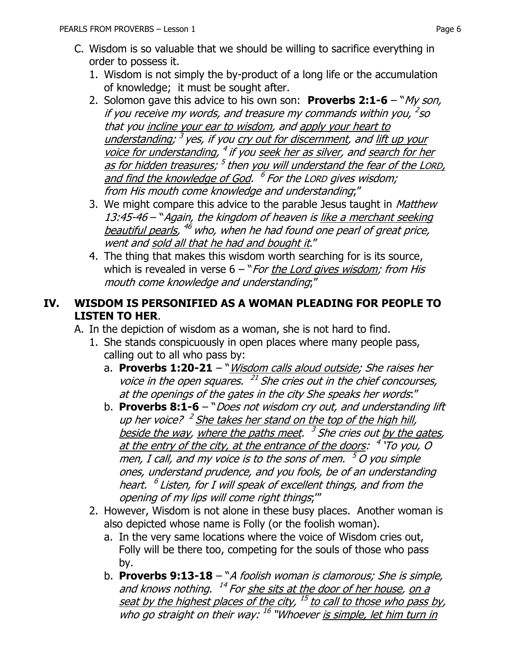- C. Wisdom is so valuable that we should be willing to sacrifice everything in order to possess it.
	- 1. Wisdom is not simply the by-product of a long life or the accumulation of knowledge; it must be sought after.
	- 2. Solomon gave this advice to his own son: **Proverbs 2:1-6** "My son, if you receive my words, and treasure my commands within you, <sup>2</sup>so that you incline your ear to wisdom, and apply your heart to understanding; <sup>3</sup> yes, if you <u>cry out for discernment</u>, and <u>lift up your</u> voice for understanding, <sup>4</sup> if you <u>seek her as silver</u>, and <u>search for her</u> <u>as for hidden treasures;  $^5$  then you will understand the fear of the LORD, </u> and find the knowledge of God. <sup>6</sup> For the Lorp gives wisdom; from His mouth come knowledge and understanding;"
	- 3. We might compare this advice to the parable Jesus taught in Matthew 13:45-46 – "Again, the kingdom of heaven is like a merchant seeking <u>beautiful pearls</u>, <sup>46</sup> who, when he had found one pearl of great price, went and sold all that he had and bought it."
	- 4. The thing that makes this wisdom worth searching for is its source, which is revealed in verse  $6 - "For the Lord gives wisdom; from His$ mouth come knowledge and understanding;"

## **IV. WISDOM IS PERSONIFIED AS A WOMAN PLEADING FOR PEOPLE TO LISTEN TO HER**.

- A. In the depiction of wisdom as a woman, she is not hard to find.
	- 1. She stands conspicuously in open places where many people pass, calling out to all who pass by:
		- a. **Proverbs 1:20-21** "*Wisdom calls aloud outside; She raises her* voice in the open squares. <sup>21</sup> She cries out in the chief concourses, at the openings of the gates in the city She speaks her words:"
		- b. **Proverbs 8:1-6** "Does not wisdom cry out, and understanding lift up her voice? <sup>2</sup> She takes her stand on the top of the high hill, beside the way, where the paths meet. <sup>3</sup> She cries out <u>by the gates</u>, <u>at the entry of the city, at the entrance of the doors</u>: <sup>4</sup> 'To you, O men, I call, and my voice is to the sons of men.  $\,^5$  O you simple ones, understand prudence, and you fools, be of an understanding heart.  $\,$   $^6$  Listen, for I will speak of excellent things, and from the opening of my lips will come right things;'"
	- 2. However, Wisdom is not alone in these busy places. Another woman is also depicted whose name is Folly (or the foolish woman).
		- a. In the very same locations where the voice of Wisdom cries out, Folly will be there too, competing for the souls of those who pass by.
		- b. **Proverbs 9:13-18** "A foolish woman is clamorous; She is simple, and knows nothing. <sup>14</sup> For <u>she sits at the door of her house</u>, <u>on a</u> <u>seat by the highest places of the city</u>, <sup>15</sup> to call to those who pass by, who go straight on their way: <sup>16</sup> "Whoever <u>is simple, let him turn in</u>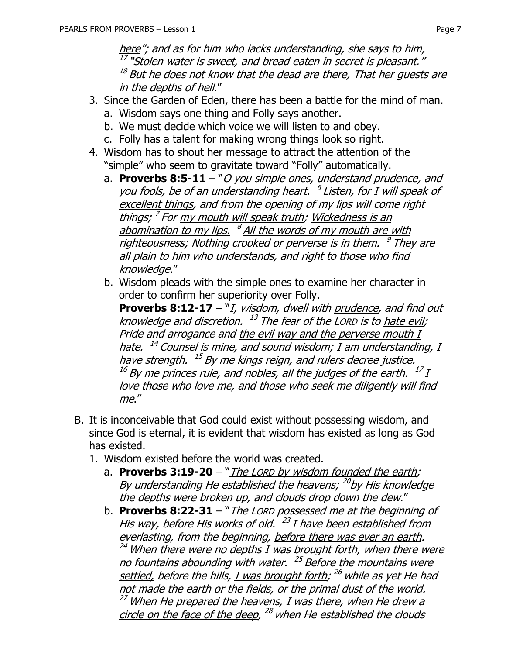here"; and as for him who lacks understanding, she says to him, <sup>17</sup> "Stolen water is sweet, and bread eaten in secret is pleasant."  $^\mathrm{18}$  But he does not know that the dead are there, That her guests are in the depths of hell."

- 3. Since the Garden of Eden, there has been a battle for the mind of man.
	- a. Wisdom says one thing and Folly says another.
	- b. We must decide which voice we will listen to and obey.
	- c. Folly has a talent for making wrong things look so right.
- 4. Wisdom has to shout her message to attract the attention of the "simple" who seem to gravitate toward "Folly" automatically.
	- a. **Proverbs 8:5-11** "O you simple ones, understand prudence, and you fools, be of an understanding heart. <sup>6</sup> Listen, for <u>I will speak of</u> excellent things, and from the opening of my lips will come right things; <sup>7</sup> For <u>my mouth will speak truth</u>; <u>Wickedness is an</u> abomination to my lips. <sup>8</sup> All the words of my mouth are with righteousness; Nothing crooked or perverse is in them. <sup>9</sup> They are all plain to him who understands, and right to those who find knowledge."
	- b. Wisdom pleads with the simple ones to examine her character in order to confirm her superiority over Folly.

**Proverbs 8:12-17** – "I, wisdom, dwell with prudence, and find out knowledge and discretion.  $\ ^{13}$  The fear of the Lorp is to <u>hate evil</u>; Pride and arrogance and the evil way and the perverse mouth I <u>hate</u>. <sup>14</sup> Counsel is mine, and <u>sound wisdom; I am understanding</u>, <u>I</u> <u>have strength</u>. <sup>15</sup> By me kings reign, and rulers decree justice.  $^{16}$  By me princes rule, and nobles, all the judges of the earth.  $^{17}$  I love those who love me, and those who seek me diligently will find me."

- B. It is inconceivable that God could exist without possessing wisdom, and since God is eternal, it is evident that wisdom has existed as long as God has existed.
	- 1. Wisdom existed before the world was created.
		- a. **Proverbs 3:19-20** "*The LORD by wisdom founded the earth;* By understanding He established the heavens; <sup>20</sup>by His knowledge the depths were broken up, and clouds drop down the dew."
		- b. **Proverbs 8:22-31** "The LORD possessed me at the beginning of His way, before His works of old. <sup>23</sup> I have been established from everlasting, from the beginning, before there was ever an earth.  $^{24}$  When there were no depths I was brought forth, when there were no fountains abounding with water. <sup>25</sup> Before the mountains were <u>settled,</u> before the hills, <u>I was brought forth</u>; <sup>26</sup> while as yet He had not made the earth or the fields, or the primal dust of the world.  $^{27}$  When He prepared the heavens, I was there, when He drew a circle on the face of the deep, <sup>28</sup> when He established the clouds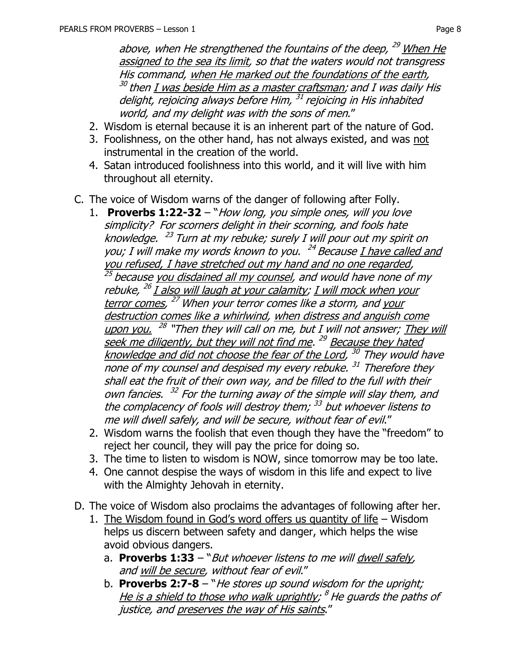above, when He strengthened the fountains of the deep, <sup>29</sup> When He assigned to the sea its limit, so that the waters would not transgress His command, when He marked out the foundations of the earth, <sup>30</sup> then <u>I was beside Him as a master craftsman</u>; and I was daily His delight, rejoicing always before Him, <sup>31</sup> rejoicing in His inhabited world, and my delight was with the sons of men."

- 2. Wisdom is eternal because it is an inherent part of the nature of God.
- 3. Foolishness, on the other hand, has not always existed, and was not instrumental in the creation of the world.
- 4. Satan introduced foolishness into this world, and it will live with him throughout all eternity.
- C. The voice of Wisdom warns of the danger of following after Folly.
	- 1. **Proverbs 1:22-32** "How long, you simple ones, will you love simplicity? For scorners delight in their scorning, and fools hate knowledge. <sup>23</sup> Turn at my rebuke; surely I will pour out my spirit on you; I will make my words known to you. <sup>24</sup> Because *I have called and* you refused, I have stretched out my hand and no one regarded, <sup>25</sup> because <u>you disdained all my counsel</u>, and would have none of my rebuke, <sup>26</sup> <u>I also will laugh at your calamity; I will mock when your</u> terror comes, <sup>27</sup> When your terror comes like a storm, and <u>your</u> destruction comes like a whirlwind, when distress and anguish come upon you. <sup>28</sup> "Then they will call on me, but I will not answer; <u>They will</u> seek me diligently, but they will not find me. <sup>29</sup> Because they hated knowledge and did not choose the fear of the Lord, <sup>30</sup> They would have none of my counsel and despised my every rebuke. <sup>31</sup> Therefore they shall eat the fruit of their own way, and be filled to the full with their own fancies. <sup>32</sup> For the turning away of the simple will slay them, and the complacency of fools will destroy them; <sup>33</sup> but whoever listens to me will dwell safely, and will be secure, without fear of evil."
	- 2. Wisdom warns the foolish that even though they have the "freedom" to reject her council, they will pay the price for doing so.
	- 3. The time to listen to wisdom is NOW, since tomorrow may be too late.
	- 4. One cannot despise the ways of wisdom in this life and expect to live with the Almighty Jehovah in eternity.
- D. The voice of Wisdom also proclaims the advantages of following after her.
	- 1. The Wisdom found in God's word offers us quantity of life Wisdom helps us discern between safety and danger, which helps the wise avoid obvious dangers.
		- a. **Proverbs 1:33** "But whoever listens to me will dwell safely, and will be secure, without fear of evil."
		- b. **Proverbs 2:7-8** "He stores up sound wisdom for the upright; <u>He is a shield to those who walk uprightly</u>; <sup>8</sup> He guards the paths of justice, and preserves the way of His saints."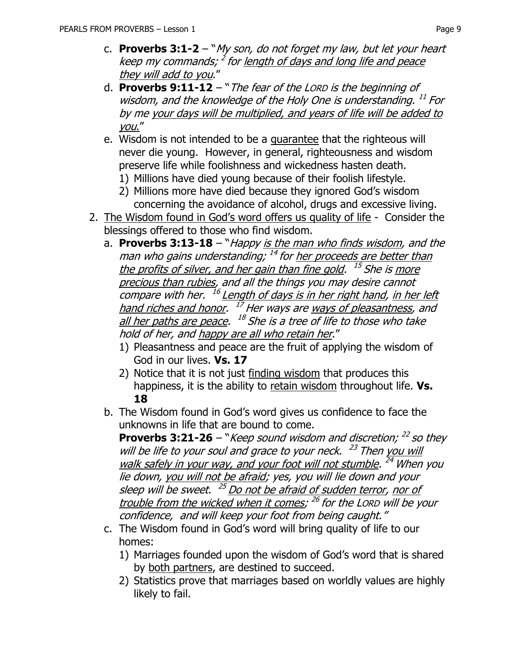- c. **Proverbs 3:1-2** "My son, do not forget my law, but let your heart keep my commands; <sup>2</sup> for <u>length of days and long life and peace</u> they will add to you."
- d. **Proverbs 9:11-12** "The fear of the LORD is the beginning of wisdom, and the knowledge of the Holy One is understanding. <sup>11</sup> For by me your days will be multiplied, and years of life will be added to you."
- e. Wisdom is not intended to be a guarantee that the righteous will never die young. However, in general, righteousness and wisdom preserve life while foolishness and wickedness hasten death.
	- 1) Millions have died young because of their foolish lifestyle.
	- 2) Millions more have died because they ignored God's wisdom concerning the avoidance of alcohol, drugs and excessive living.
- 2. The Wisdom found in God's word offers us quality of life Consider the blessings offered to those who find wisdom.
	- a. **Proverbs 3:13-18** "Happy is the man who finds wisdom, and the man who gains understanding; <sup>14</sup> for <u>her proceeds are better than</u> the profits of silver, and her gain than fine gold. <sup>15</sup> She is <u>more</u> precious than rubies, and all the things you may desire cannot compare with her. <sup>16</sup> Length of days is in her right hand, in her left hand riches and honor. <sup>17</sup> Her ways are <u>ways of pleasantness</u>, and all her paths are peace. <sup>18</sup> She is a tree of life to those who take hold of her, and happy are all who retain her."
		- 1) Pleasantness and peace are the fruit of applying the wisdom of God in our lives. **Vs. 17**
		- 2) Notice that it is not just finding wisdom that produces this happiness, it is the ability to retain wisdom throughout life. **Vs. 18**
	- b. The Wisdom found in God's word gives us confidence to face the unknowns in life that are bound to come.

**Proverbs 3:21-26** – "*Keep sound wisdom and discretion;*  $^{22}$  so they will be life to your soul and grace to your neck. <sup>23</sup> Then you will walk safely in your way, and your foot will not stumble. <sup>24</sup> When you lie down, you will not be afraid; yes, you will lie down and your sleep will be sweet. <sup>25</sup> Do not be afraid of sudden terror, nor of trouble from the wicked when it comes; <sup>26</sup> for the Lorp will be your confidence, and will keep your foot from being caught."

- c. The Wisdom found in God's word will bring quality of life to our homes:
	- 1) Marriages founded upon the wisdom of God's word that is shared by both partners, are destined to succeed.
	- 2) Statistics prove that marriages based on worldly values are highly likely to fail.